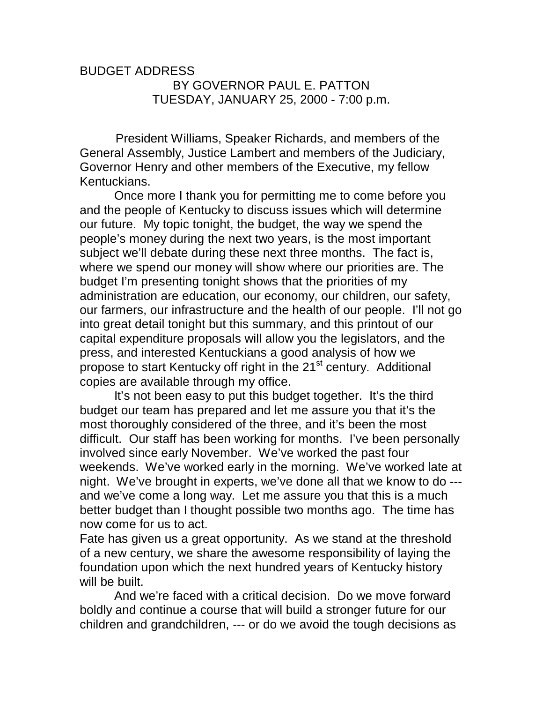## BUDGET ADDRESS BY GOVERNOR PAUL E. PATTON TUESDAY, JANUARY 25, 2000 - 7:00 p.m.

 President Williams, Speaker Richards, and members of the General Assembly, Justice Lambert and members of the Judiciary, Governor Henry and other members of the Executive, my fellow Kentuckians.

 Once more I thank you for permitting me to come before you and the people of Kentucky to discuss issues which will determine our future. My topic tonight, the budget, the way we spend the people's money during the next two years, is the most important subject we'll debate during these next three months. The fact is, where we spend our money will show where our priorities are. The budget I'm presenting tonight shows that the priorities of my administration are education, our economy, our children, our safety, our farmers, our infrastructure and the health of our people. I'll not go into great detail tonight but this summary, and this printout of our capital expenditure proposals will allow you the legislators, and the press, and interested Kentuckians a good analysis of how we propose to start Kentucky off right in the 21<sup>st</sup> century. Additional copies are available through my office.

 It's not been easy to put this budget together. It's the third budget our team has prepared and let me assure you that it's the most thoroughly considered of the three, and it's been the most difficult. Our staff has been working for months. I've been personally involved since early November. We've worked the past four weekends. We've worked early in the morning. We've worked late at night. We've brought in experts, we've done all that we know to do -- and we've come a long way. Let me assure you that this is a much better budget than I thought possible two months ago. The time has now come for us to act.

Fate has given us a great opportunity. As we stand at the threshold of a new century, we share the awesome responsibility of laying the foundation upon which the next hundred years of Kentucky history will be built.

 And we're faced with a critical decision. Do we move forward boldly and continue a course that will build a stronger future for our children and grandchildren, --- or do we avoid the tough decisions as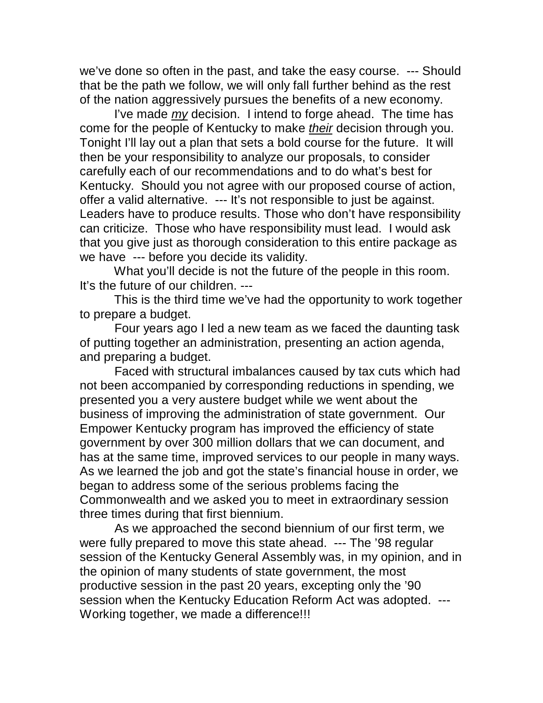we've done so often in the past, and take the easy course. --- Should that be the path we follow, we will only fall further behind as the rest of the nation aggressively pursues the benefits of a new economy.

 I've made *my* decision. I intend to forge ahead. The time has come for the people of Kentucky to make *their* decision through you. Tonight I'll lay out a plan that sets a bold course for the future. It will then be your responsibility to analyze our proposals, to consider carefully each of our recommendations and to do what's best for Kentucky. Should you not agree with our proposed course of action, offer a valid alternative. --- It's not responsible to just be against. Leaders have to produce results. Those who don't have responsibility can criticize. Those who have responsibility must lead. I would ask that you give just as thorough consideration to this entire package as we have --- before you decide its validity.

 What you'll decide is not the future of the people in this room. It's the future of our children. ---

 This is the third time we've had the opportunity to work together to prepare a budget.

 Four years ago I led a new team as we faced the daunting task of putting together an administration, presenting an action agenda, and preparing a budget.

 Faced with structural imbalances caused by tax cuts which had not been accompanied by corresponding reductions in spending, we presented you a very austere budget while we went about the business of improving the administration of state government. Our Empower Kentucky program has improved the efficiency of state government by over 300 million dollars that we can document, and has at the same time, improved services to our people in many ways. As we learned the job and got the state's financial house in order, we began to address some of the serious problems facing the Commonwealth and we asked you to meet in extraordinary session three times during that first biennium.

 As we approached the second biennium of our first term, we were fully prepared to move this state ahead. --- The '98 regular session of the Kentucky General Assembly was, in my opinion, and in the opinion of many students of state government, the most productive session in the past 20 years, excepting only the '90 session when the Kentucky Education Reform Act was adopted. --- Working together, we made a difference!!!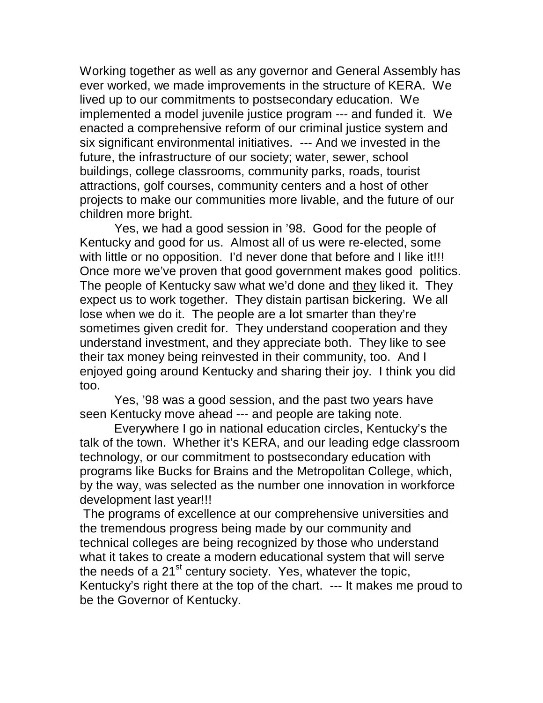Working together as well as any governor and General Assembly has ever worked, we made improvements in the structure of KERA. We lived up to our commitments to postsecondary education. We implemented a model juvenile justice program --- and funded it. We enacted a comprehensive reform of our criminal justice system and six significant environmental initiatives. --- And we invested in the future, the infrastructure of our society; water, sewer, school buildings, college classrooms, community parks, roads, tourist attractions, golf courses, community centers and a host of other projects to make our communities more livable, and the future of our children more bright.

 Yes, we had a good session in '98. Good for the people of Kentucky and good for us. Almost all of us were re-elected, some with little or no opposition. I'd never done that before and I like it!!! Once more we've proven that good government makes good politics. The people of Kentucky saw what we'd done and they liked it. They expect us to work together. They distain partisan bickering. We all lose when we do it. The people are a lot smarter than they're sometimes given credit for. They understand cooperation and they understand investment, and they appreciate both. They like to see their tax money being reinvested in their community, too. And I enjoyed going around Kentucky and sharing their joy. I think you did too.

 Yes, '98 was a good session, and the past two years have seen Kentucky move ahead --- and people are taking note.

 Everywhere I go in national education circles, Kentucky's the talk of the town. Whether it's KERA, and our leading edge classroom technology, or our commitment to postsecondary education with programs like Bucks for Brains and the Metropolitan College, which, by the way, was selected as the number one innovation in workforce development last year!!!

 The programs of excellence at our comprehensive universities and the tremendous progress being made by our community and technical colleges are being recognized by those who understand what it takes to create a modern educational system that will serve the needs of a  $21<sup>st</sup>$  century society. Yes, whatever the topic, Kentucky's right there at the top of the chart. --- It makes me proud to be the Governor of Kentucky.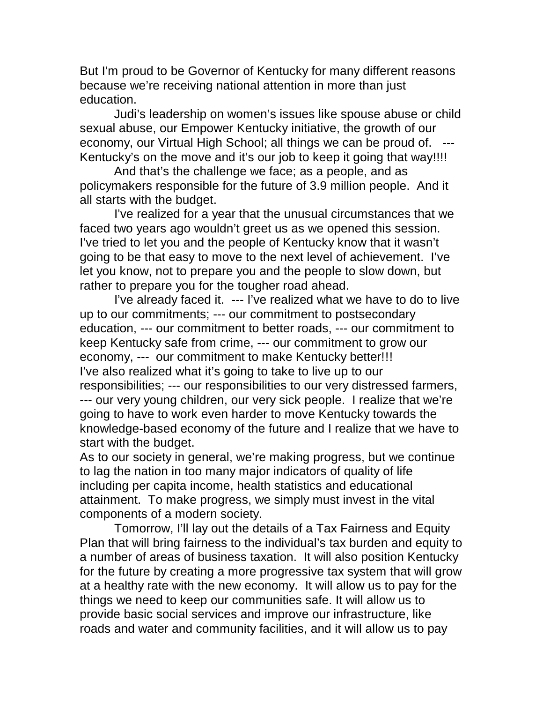But I'm proud to be Governor of Kentucky for many different reasons because we're receiving national attention in more than just education.

 Judi's leadership on women's issues like spouse abuse or child sexual abuse, our Empower Kentucky initiative, the growth of our economy, our Virtual High School; all things we can be proud of. Kentucky's on the move and it's our job to keep it going that way!!!!

 And that's the challenge we face; as a people, and as policymakers responsible for the future of 3.9 million people. And it all starts with the budget.

 I've realized for a year that the unusual circumstances that we faced two years ago wouldn't greet us as we opened this session. I've tried to let you and the people of Kentucky know that it wasn't going to be that easy to move to the next level of achievement. I've let you know, not to prepare you and the people to slow down, but rather to prepare you for the tougher road ahead.

 I've already faced it. --- I've realized what we have to do to live up to our commitments; --- our commitment to postsecondary education, --- our commitment to better roads, --- our commitment to keep Kentucky safe from crime, --- our commitment to grow our economy, --- our commitment to make Kentucky better!!! I've also realized what it's going to take to live up to our responsibilities; --- our responsibilities to our very distressed farmers, --- our very young children, our very sick people. I realize that we're going to have to work even harder to move Kentucky towards the knowledge-based economy of the future and I realize that we have to start with the budget.

As to our society in general, we're making progress, but we continue to lag the nation in too many major indicators of quality of life including per capita income, health statistics and educational attainment. To make progress, we simply must invest in the vital components of a modern society.

 Tomorrow, I'll lay out the details of a Tax Fairness and Equity Plan that will bring fairness to the individual's tax burden and equity to a number of areas of business taxation. It will also position Kentucky for the future by creating a more progressive tax system that will grow at a healthy rate with the new economy. It will allow us to pay for the things we need to keep our communities safe. It will allow us to provide basic social services and improve our infrastructure, like roads and water and community facilities, and it will allow us to pay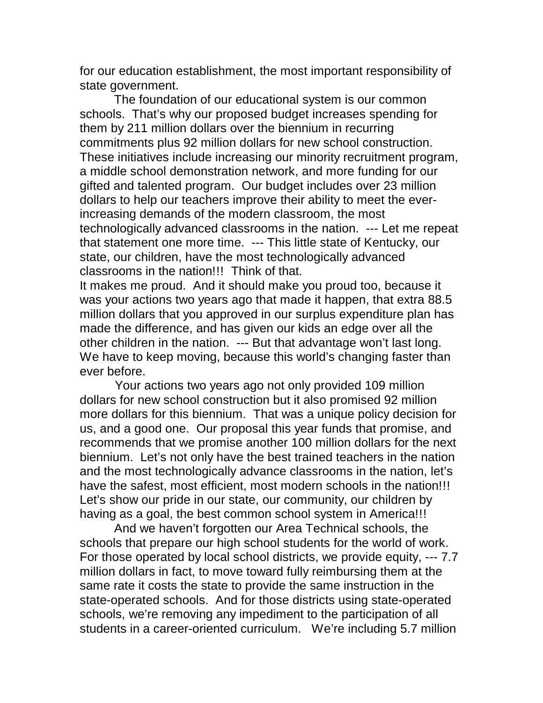for our education establishment, the most important responsibility of state government.

 The foundation of our educational system is our common schools. That's why our proposed budget increases spending for them by 211 million dollars over the biennium in recurring commitments plus 92 million dollars for new school construction. These initiatives include increasing our minority recruitment program, a middle school demonstration network, and more funding for our gifted and talented program. Our budget includes over 23 million dollars to help our teachers improve their ability to meet the everincreasing demands of the modern classroom, the most technologically advanced classrooms in the nation. --- Let me repeat that statement one more time. --- This little state of Kentucky, our state, our children, have the most technologically advanced classrooms in the nation!!! Think of that.

It makes me proud. And it should make you proud too, because it was your actions two years ago that made it happen, that extra 88.5 million dollars that you approved in our surplus expenditure plan has made the difference, and has given our kids an edge over all the other children in the nation. --- But that advantage won't last long. We have to keep moving, because this world's changing faster than ever before.

 Your actions two years ago not only provided 109 million dollars for new school construction but it also promised 92 million more dollars for this biennium. That was a unique policy decision for us, and a good one. Our proposal this year funds that promise, and recommends that we promise another 100 million dollars for the next biennium. Let's not only have the best trained teachers in the nation and the most technologically advance classrooms in the nation, let's have the safest, most efficient, most modern schools in the nation!!! Let's show our pride in our state, our community, our children by having as a goal, the best common school system in America!!!

 And we haven't forgotten our Area Technical schools, the schools that prepare our high school students for the world of work. For those operated by local school districts, we provide equity, --- 7.7 million dollars in fact, to move toward fully reimbursing them at the same rate it costs the state to provide the same instruction in the state-operated schools. And for those districts using state-operated schools, we're removing any impediment to the participation of all students in a career-oriented curriculum. We're including 5.7 million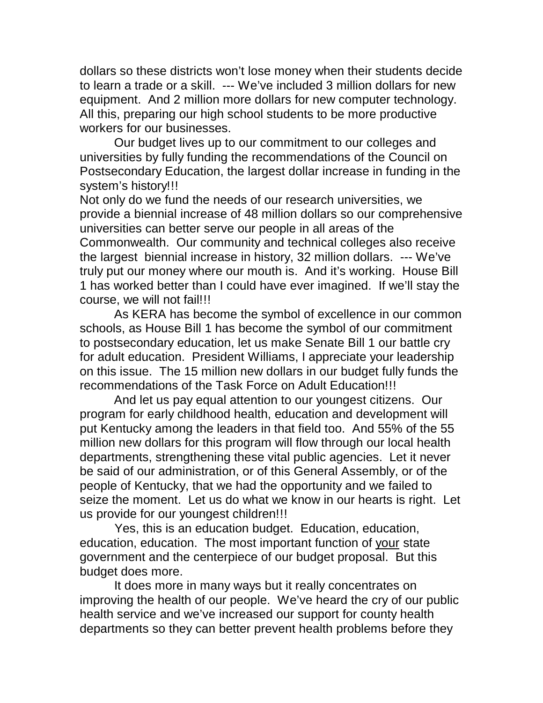dollars so these districts won't lose money when their students decide to learn a trade or a skill. --- We've included 3 million dollars for new equipment. And 2 million more dollars for new computer technology. All this, preparing our high school students to be more productive workers for our businesses.

 Our budget lives up to our commitment to our colleges and universities by fully funding the recommendations of the Council on Postsecondary Education, the largest dollar increase in funding in the system's history!!!

Not only do we fund the needs of our research universities, we provide a biennial increase of 48 million dollars so our comprehensive universities can better serve our people in all areas of the Commonwealth. Our community and technical colleges also receive the largest biennial increase in history, 32 million dollars. --- We've truly put our money where our mouth is. And it's working. House Bill 1 has worked better than I could have ever imagined. If we'll stay the course, we will not fail!!!

 As KERA has become the symbol of excellence in our common schools, as House Bill 1 has become the symbol of our commitment to postsecondary education, let us make Senate Bill 1 our battle cry for adult education. President Williams, I appreciate your leadership on this issue. The 15 million new dollars in our budget fully funds the recommendations of the Task Force on Adult Education!!!

 And let us pay equal attention to our youngest citizens. Our program for early childhood health, education and development will put Kentucky among the leaders in that field too. And 55% of the 55 million new dollars for this program will flow through our local health departments, strengthening these vital public agencies. Let it never be said of our administration, or of this General Assembly, or of the people of Kentucky, that we had the opportunity and we failed to seize the moment. Let us do what we know in our hearts is right. Let us provide for our youngest children!!!

 Yes, this is an education budget. Education, education, education, education. The most important function of your state government and the centerpiece of our budget proposal. But this budget does more.

 It does more in many ways but it really concentrates on improving the health of our people. We've heard the cry of our public health service and we've increased our support for county health departments so they can better prevent health problems before they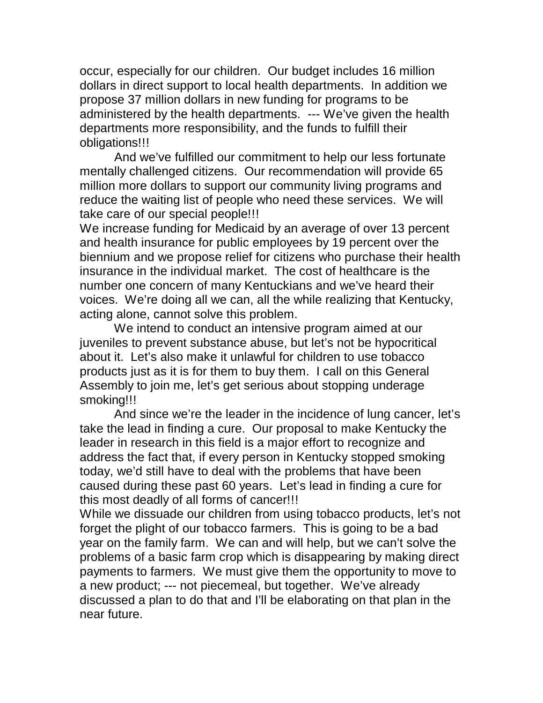occur, especially for our children. Our budget includes 16 million dollars in direct support to local health departments. In addition we propose 37 million dollars in new funding for programs to be administered by the health departments. --- We've given the health departments more responsibility, and the funds to fulfill their obligations!!!

 And we've fulfilled our commitment to help our less fortunate mentally challenged citizens. Our recommendation will provide 65 million more dollars to support our community living programs and reduce the waiting list of people who need these services. We will take care of our special people!!!

We increase funding for Medicaid by an average of over 13 percent and health insurance for public employees by 19 percent over the biennium and we propose relief for citizens who purchase their health insurance in the individual market. The cost of healthcare is the number one concern of many Kentuckians and we've heard their voices. We're doing all we can, all the while realizing that Kentucky, acting alone, cannot solve this problem.

 We intend to conduct an intensive program aimed at our juveniles to prevent substance abuse, but let's not be hypocritical about it. Let's also make it unlawful for children to use tobacco products just as it is for them to buy them. I call on this General Assembly to join me, let's get serious about stopping underage smoking!!!

 And since we're the leader in the incidence of lung cancer, let's take the lead in finding a cure. Our proposal to make Kentucky the leader in research in this field is a major effort to recognize and address the fact that, if every person in Kentucky stopped smoking today, we'd still have to deal with the problems that have been caused during these past 60 years. Let's lead in finding a cure for this most deadly of all forms of cancer!!!

While we dissuade our children from using tobacco products, let's not forget the plight of our tobacco farmers. This is going to be a bad year on the family farm. We can and will help, but we can't solve the problems of a basic farm crop which is disappearing by making direct payments to farmers. We must give them the opportunity to move to a new product; --- not piecemeal, but together. We've already discussed a plan to do that and I'll be elaborating on that plan in the near future.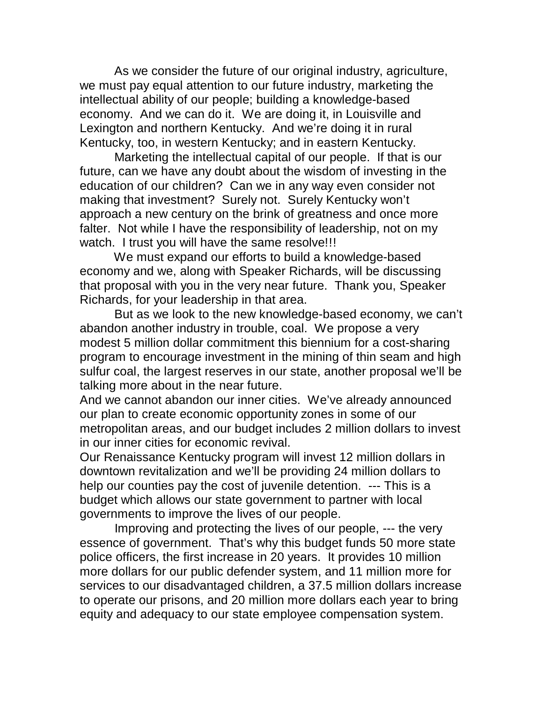As we consider the future of our original industry, agriculture, we must pay equal attention to our future industry, marketing the intellectual ability of our people; building a knowledge-based economy. And we can do it. We are doing it, in Louisville and Lexington and northern Kentucky. And we're doing it in rural Kentucky, too, in western Kentucky; and in eastern Kentucky.

 Marketing the intellectual capital of our people. If that is our future, can we have any doubt about the wisdom of investing in the education of our children? Can we in any way even consider not making that investment? Surely not. Surely Kentucky won't approach a new century on the brink of greatness and once more falter. Not while I have the responsibility of leadership, not on my watch. I trust you will have the same resolve!!!

 We must expand our efforts to build a knowledge-based economy and we, along with Speaker Richards, will be discussing that proposal with you in the very near future. Thank you, Speaker Richards, for your leadership in that area.

 But as we look to the new knowledge-based economy, we can't abandon another industry in trouble, coal. We propose a very modest 5 million dollar commitment this biennium for a cost-sharing program to encourage investment in the mining of thin seam and high sulfur coal, the largest reserves in our state, another proposal we'll be talking more about in the near future.

And we cannot abandon our inner cities. We've already announced our plan to create economic opportunity zones in some of our metropolitan areas, and our budget includes 2 million dollars to invest in our inner cities for economic revival.

Our Renaissance Kentucky program will invest 12 million dollars in downtown revitalization and we'll be providing 24 million dollars to help our counties pay the cost of juvenile detention. --- This is a budget which allows our state government to partner with local governments to improve the lives of our people.

 Improving and protecting the lives of our people, --- the very essence of government. That's why this budget funds 50 more state police officers, the first increase in 20 years. It provides 10 million more dollars for our public defender system, and 11 million more for services to our disadvantaged children, a 37.5 million dollars increase to operate our prisons, and 20 million more dollars each year to bring equity and adequacy to our state employee compensation system.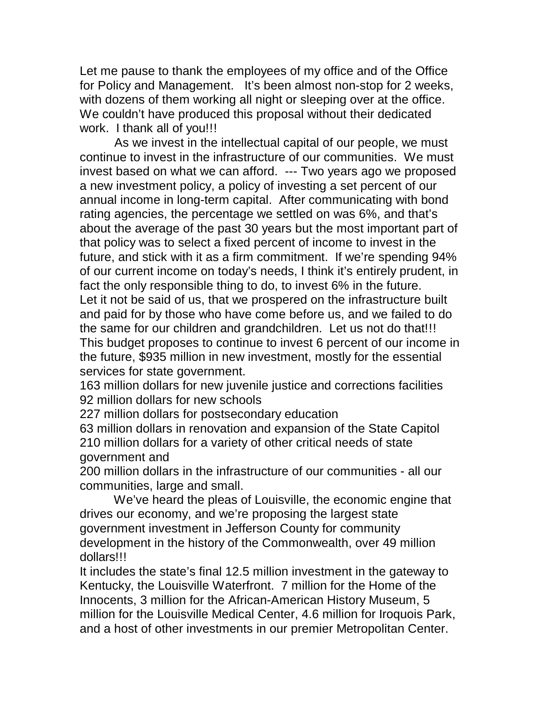Let me pause to thank the employees of my office and of the Office for Policy and Management. It's been almost non-stop for 2 weeks, with dozens of them working all night or sleeping over at the office. We couldn't have produced this proposal without their dedicated work. I thank all of you!!!

 As we invest in the intellectual capital of our people, we must continue to invest in the infrastructure of our communities. We must invest based on what we can afford. --- Two years ago we proposed a new investment policy, a policy of investing a set percent of our annual income in long-term capital. After communicating with bond rating agencies, the percentage we settled on was 6%, and that's about the average of the past 30 years but the most important part of that policy was to select a fixed percent of income to invest in the future, and stick with it as a firm commitment. If we're spending 94% of our current income on today's needs, I think it's entirely prudent, in fact the only responsible thing to do, to invest 6% in the future. Let it not be said of us, that we prospered on the infrastructure built and paid for by those who have come before us, and we failed to do the same for our children and grandchildren. Let us not do that!!! This budget proposes to continue to invest 6 percent of our income in the future, \$935 million in new investment, mostly for the essential services for state government.

163 million dollars for new juvenile justice and corrections facilities 92 million dollars for new schools

227 million dollars for postsecondary education

63 million dollars in renovation and expansion of the State Capitol 210 million dollars for a variety of other critical needs of state government and

200 million dollars in the infrastructure of our communities - all our communities, large and small.

 We've heard the pleas of Louisville, the economic engine that drives our economy, and we're proposing the largest state government investment in Jefferson County for community development in the history of the Commonwealth, over 49 million dollars!!!

It includes the state's final 12.5 million investment in the gateway to Kentucky, the Louisville Waterfront. 7 million for the Home of the Innocents, 3 million for the African-American History Museum, 5 million for the Louisville Medical Center, 4.6 million for Iroquois Park, and a host of other investments in our premier Metropolitan Center.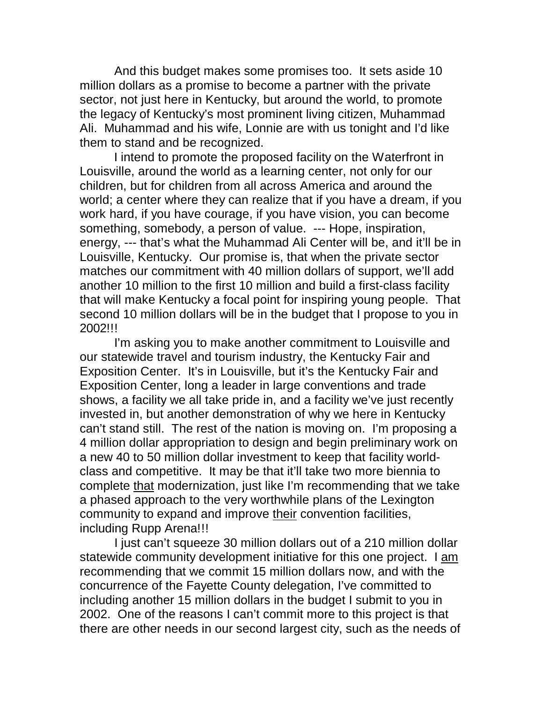And this budget makes some promises too. It sets aside 10 million dollars as a promise to become a partner with the private sector, not just here in Kentucky, but around the world, to promote the legacy of Kentucky's most prominent living citizen, Muhammad Ali. Muhammad and his wife, Lonnie are with us tonight and I'd like them to stand and be recognized.

 I intend to promote the proposed facility on the Waterfront in Louisville, around the world as a learning center, not only for our children, but for children from all across America and around the world; a center where they can realize that if you have a dream, if you work hard, if you have courage, if you have vision, you can become something, somebody, a person of value. --- Hope, inspiration, energy, --- that's what the Muhammad Ali Center will be, and it'll be in Louisville, Kentucky. Our promise is, that when the private sector matches our commitment with 40 million dollars of support, we'll add another 10 million to the first 10 million and build a first-class facility that will make Kentucky a focal point for inspiring young people. That second 10 million dollars will be in the budget that I propose to you in 2002!!!

 I'm asking you to make another commitment to Louisville and our statewide travel and tourism industry, the Kentucky Fair and Exposition Center. It's in Louisville, but it's the Kentucky Fair and Exposition Center, long a leader in large conventions and trade shows, a facility we all take pride in, and a facility we've just recently invested in, but another demonstration of why we here in Kentucky can't stand still. The rest of the nation is moving on. I'm proposing a 4 million dollar appropriation to design and begin preliminary work on a new 40 to 50 million dollar investment to keep that facility worldclass and competitive. It may be that it'll take two more biennia to complete that modernization, just like I'm recommending that we take a phased approach to the very worthwhile plans of the Lexington community to expand and improve their convention facilities, including Rupp Arena!!!

 I just can't squeeze 30 million dollars out of a 210 million dollar statewide community development initiative for this one project. I am recommending that we commit 15 million dollars now, and with the concurrence of the Fayette County delegation, I've committed to including another 15 million dollars in the budget I submit to you in 2002. One of the reasons I can't commit more to this project is that there are other needs in our second largest city, such as the needs of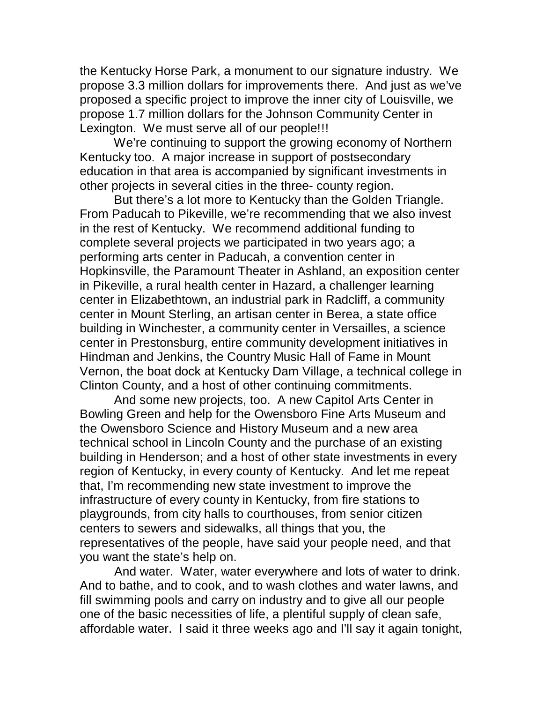the Kentucky Horse Park, a monument to our signature industry. We propose 3.3 million dollars for improvements there. And just as we've proposed a specific project to improve the inner city of Louisville, we propose 1.7 million dollars for the Johnson Community Center in Lexington. We must serve all of our people!!!

 We're continuing to support the growing economy of Northern Kentucky too. A major increase in support of postsecondary education in that area is accompanied by significant investments in other projects in several cities in the three- county region.

 But there's a lot more to Kentucky than the Golden Triangle. From Paducah to Pikeville, we're recommending that we also invest in the rest of Kentucky. We recommend additional funding to complete several projects we participated in two years ago; a performing arts center in Paducah, a convention center in Hopkinsville, the Paramount Theater in Ashland, an exposition center in Pikeville, a rural health center in Hazard, a challenger learning center in Elizabethtown, an industrial park in Radcliff, a community center in Mount Sterling, an artisan center in Berea, a state office building in Winchester, a community center in Versailles, a science center in Prestonsburg, entire community development initiatives in Hindman and Jenkins, the Country Music Hall of Fame in Mount Vernon, the boat dock at Kentucky Dam Village, a technical college in Clinton County, and a host of other continuing commitments.

 And some new projects, too. A new Capitol Arts Center in Bowling Green and help for the Owensboro Fine Arts Museum and the Owensboro Science and History Museum and a new area technical school in Lincoln County and the purchase of an existing building in Henderson; and a host of other state investments in every region of Kentucky, in every county of Kentucky. And let me repeat that, I'm recommending new state investment to improve the infrastructure of every county in Kentucky, from fire stations to playgrounds, from city halls to courthouses, from senior citizen centers to sewers and sidewalks, all things that you, the representatives of the people, have said your people need, and that you want the state's help on.

 And water. Water, water everywhere and lots of water to drink. And to bathe, and to cook, and to wash clothes and water lawns, and fill swimming pools and carry on industry and to give all our people one of the basic necessities of life, a plentiful supply of clean safe, affordable water. I said it three weeks ago and I'll say it again tonight,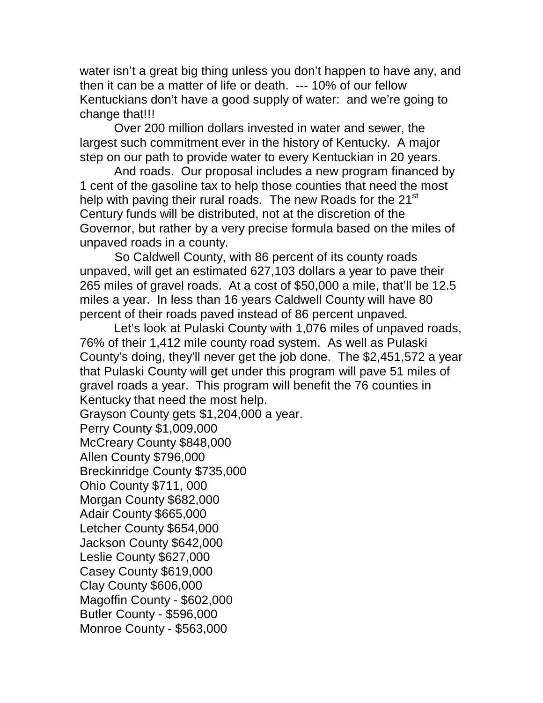water isn't a great big thing unless you don't happen to have any, and then it can be a matter of life or death. --- 10% of our fellow Kentuckians don't have a good supply of water: and we're going to change that!!!

 Over 200 million dollars invested in water and sewer, the largest such commitment ever in the history of Kentucky. A major step on our path to provide water to every Kentuckian in 20 years.

 And roads. Our proposal includes a new program financed by 1 cent of the gasoline tax to help those counties that need the most help with paving their rural roads. The new Roads for the 21<sup>st</sup> Century funds will be distributed, not at the discretion of the Governor, but rather by a very precise formula based on the miles of unpaved roads in a county.

 So Caldwell County, with 86 percent of its county roads unpaved, will get an estimated 627,103 dollars a year to pave their 265 miles of gravel roads. At a cost of \$50,000 a mile, that'll be 12.5 miles a year. In less than 16 years Caldwell County will have 80 percent of their roads paved instead of 86 percent unpaved.

 Let's look at Pulaski County with 1,076 miles of unpaved roads, 76% of their 1,412 mile county road system. As well as Pulaski County's doing, they'll never get the job done. The \$2,451,572 a year that Pulaski County will get under this program will pave 51 miles of gravel roads a year. This program will benefit the 76 counties in Kentucky that need the most help. Grayson County gets \$1,204,000 a year. Perry County \$1,009,000 McCreary County \$848,000 Allen County \$796,000 Breckinridge County \$735,000 Ohio County \$711, 000 Morgan County \$682,000 Adair County \$665,000 Letcher County \$654,000 Jackson County \$642,000 Leslie County \$627,000 Casey County \$619,000 Clay County \$606,000 Magoffin County - \$602,000 Butler County - \$596,000 Monroe County - \$563,000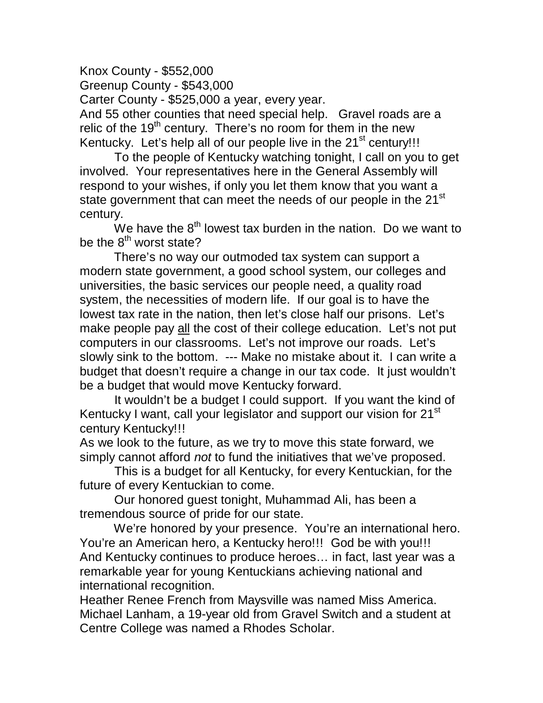Knox County - \$552,000 Greenup County - \$543,000 Carter County - \$525,000 a year, every year. And 55 other counties that need special help. Gravel roads are a relic of the  $19<sup>th</sup>$  century. There's no room for them in the new Kentucky. Let's help all of our people live in the  $21<sup>st</sup>$  century!!!

 To the people of Kentucky watching tonight, I call on you to get involved. Your representatives here in the General Assembly will respond to your wishes, if only you let them know that you want a state government that can meet the needs of our people in the 21<sup>st</sup> century.

We have the  $8<sup>th</sup>$  lowest tax burden in the nation. Do we want to be the  $8^{th}$  worst state?

 There's no way our outmoded tax system can support a modern state government, a good school system, our colleges and universities, the basic services our people need, a quality road system, the necessities of modern life. If our goal is to have the lowest tax rate in the nation, then let's close half our prisons. Let's make people pay all the cost of their college education. Let's not put computers in our classrooms. Let's not improve our roads. Let's slowly sink to the bottom. --- Make no mistake about it. I can write a budget that doesn't require a change in our tax code. It just wouldn't be a budget that would move Kentucky forward.

 It wouldn't be a budget I could support. If you want the kind of Kentucky I want, call your legislator and support our vision for 21<sup>st</sup> century Kentucky!!!

As we look to the future, as we try to move this state forward, we simply cannot afford *not* to fund the initiatives that we've proposed.

 This is a budget for all Kentucky, for every Kentuckian, for the future of every Kentuckian to come.

 Our honored guest tonight, Muhammad Ali, has been a tremendous source of pride for our state.

We're honored by your presence. You're an international hero. You're an American hero, a Kentucky hero!!! God be with you!!! And Kentucky continues to produce heroes… in fact, last year was a remarkable year for young Kentuckians achieving national and international recognition.

Heather Renee French from Maysville was named Miss America. Michael Lanham, a 19-year old from Gravel Switch and a student at Centre College was named a Rhodes Scholar.